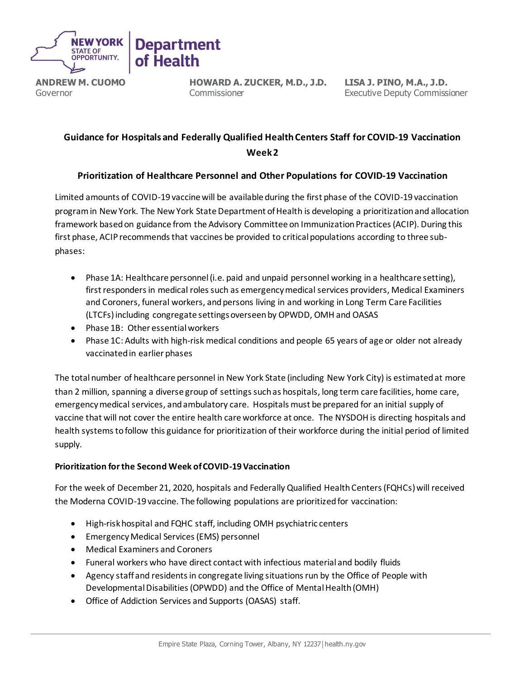

**ANDREW M. CUOMO** Governor

**HOWARD A. ZUCKER, M.D., J.D.** Commissioner

**LISA J. PINO, M.A., J.D.** Executive Deputy Commissioner

# **Guidance for Hospitals and Federally Qualified Health Centers Staff for COVID-19 Vaccination Week 2**

# **Prioritization of Healthcare Personnel and Other Populations for COVID-19 Vaccination**

Limited amounts of COVID-19 vaccine will be available during the first phase of the COVID-19 vaccination program in New York. The New York State Department of Health is developing a prioritization and allocation framework based on guidance from the Advisory Committee on Immunization Practices (ACIP). During this first phase, ACIP recommends that vaccines be provided to critical populations according to three subphases:

- Phase 1A: Healthcare personnel (i.e. paid and unpaid personnel working in a healthcare setting), first responders in medical roles such as emergency medical services providers, Medical Examiners and Coroners, funeral workers, and persons living in and working in Long Term Care Facilities (LTCFs)including congregate settings overseen by OPWDD, OMH and OASAS
- Phase 1B: Other essential workers
- Phase 1C: Adults with high-risk medical conditions and people 65 years of age or older not already vaccinated in earlier phases

The total number of healthcare personnel in New York State (including New York City) is estimated at more than 2 million, spanning a diverse group of settings such as hospitals, long term care facilities, home care, emergency medical services, and ambulatory care. Hospitals must be prepared for an initial supply of vaccine that will not cover the entire health care workforce at once. The NYSDOH is directing hospitals and health systems to follow this guidance for prioritization of their workforce during the initial period of limited supply.

# **Prioritization for the Second Week of COVID-19 Vaccination**

For the week of December 21, 2020, hospitals and Federally Qualified Health Centers (FQHCs) will received the Moderna COVID-19 vaccine. The following populations are prioritized for vaccination:

- High-risk hospital and FQHC staff, including OMH psychiatric centers
- Emergency Medical Services (EMS) personnel
- Medical Examiners and Coroners
- Funeral workers who have direct contact with infectious material and bodily fluids
- Agency staff and residents in congregate living situations run by the Office of People with Developmental Disabilities (OPWDD) and the Office of Mental Health (OMH)
- Office of Addiction Services and Supports (OASAS) staff.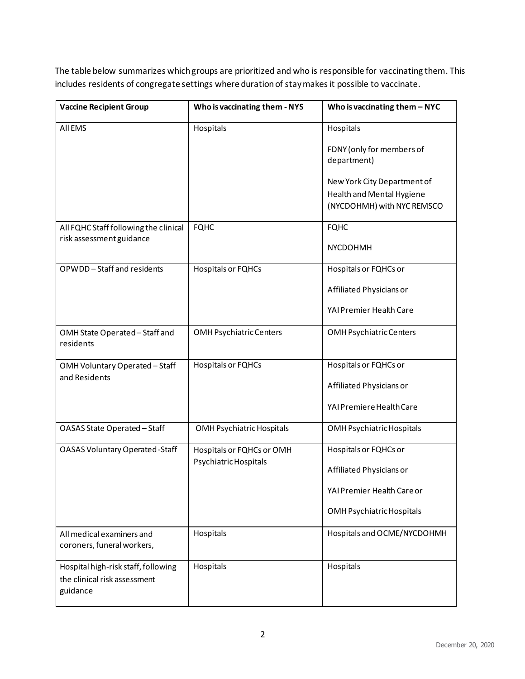The table below summarizes which groups are prioritized and who is responsible for vaccinating them. This includes residents of congregate settings where duration of stay makes it possible to vaccinate.

| <b>Vaccine Recipient Group</b>                                                  | Who is vaccinating them - NYS                      | Who is vaccinating them $-$ NYC                                                        |
|---------------------------------------------------------------------------------|----------------------------------------------------|----------------------------------------------------------------------------------------|
| All EMS                                                                         | Hospitals                                          | Hospitals                                                                              |
|                                                                                 |                                                    | FDNY (only for members of<br>department)                                               |
|                                                                                 |                                                    | New York City Department of<br>Health and Mental Hygiene<br>(NYCDOHMH) with NYC REMSCO |
| All FQHC Staff following the clinical                                           | <b>FQHC</b>                                        | <b>FQHC</b>                                                                            |
| risk assessment guidance                                                        |                                                    | NYCDOHMH                                                                               |
| OPWDD-Staff and residents                                                       | Hospitals or FQHCs                                 | Hospitals or FQHCs or                                                                  |
|                                                                                 |                                                    | Affiliated Physicians or                                                               |
|                                                                                 |                                                    | YAI Premier Health Care                                                                |
| OMH State Operated - Staff and<br>residents                                     | <b>OMH Psychiatric Centers</b>                     | OMH Psychiatric Centers                                                                |
| OMH Voluntary Operated - Staff                                                  | Hospitals or FQHCs                                 | Hospitals or FQHCs or                                                                  |
| and Residents                                                                   |                                                    | Affiliated Physicians or                                                               |
|                                                                                 |                                                    | YAI Premiere Health Care                                                               |
| OASAS State Operated - Staff                                                    | OMH Psychiatric Hospitals                          | OMH Psychiatric Hospitals                                                              |
| <b>OASAS Voluntary Operated-Staff</b>                                           | Hospitals or FQHCs or OMH<br>Psychiatric Hospitals | Hospitals or FQHCs or                                                                  |
|                                                                                 |                                                    | Affiliated Physicians or                                                               |
|                                                                                 |                                                    | YAI Premier Health Care or                                                             |
|                                                                                 |                                                    | OMH Psychiatric Hospitals                                                              |
| All medical examiners and<br>coroners, funeral workers,                         | Hospitals                                          | Hospitals and OCME/NYCDOHMH                                                            |
| Hospital high-risk staff, following<br>the clinical risk assessment<br>guidance | Hospitals                                          | Hospitals                                                                              |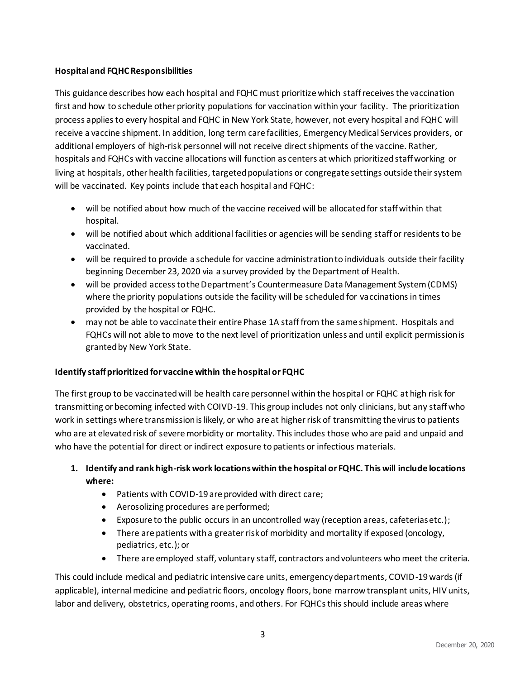## **Hospital and FQHC Responsibilities**

This guidance describes how each hospital and FQHC must prioritize which staff receives the vaccination first and how to schedule other priority populations for vaccination within your facility. The prioritization process applies to every hospital and FQHC in New York State, however, not every hospital and FQHC will receive a vaccine shipment. In addition, long term care facilities, Emergency Medical Services providers, or additional employers of high-risk personnel will not receive direct shipments of the vaccine. Rather, hospitals and FQHCs with vaccine allocations will function as centers at which prioritized staff working or living at hospitals, other health facilities, targeted populations or congregate settings outside their system will be vaccinated. Key points include that each hospital and FQHC:

- will be notified about how much of the vaccine received will be allocated for staff within that hospital.
- will be notified about which additional facilities or agencies will be sending staff or residents to be vaccinated.
- will be required to provide a schedule for vaccine administration to individuals outside their facility beginning December 23, 2020 via a survey provided by the Department of Health.
- will be provided access to the Department's Countermeasure Data Management System (CDMS) where the priority populations outside the facility will be scheduled for vaccinations in times provided by the hospital or FQHC.
- may not be able to vaccinate their entire Phase 1A staff from the same shipment. Hospitals and FQHCs will not able to move to the next level of prioritization unless and until explicit permission is granted by New York State.

## **Identify staff prioritized for vaccine within the hospital or FQHC**

The first group to be vaccinated will be health care personnel within the hospital or FQHC at high risk for transmitting or becoming infected with COIVD-19. This group includes not only clinicians, but any staff who work in settings where transmission is likely, or who are at higher risk of transmitting the virus to patients who are at elevated risk of severe morbidity or mortality. This includes those who are paid and unpaid and who have the potential for direct or indirect exposure to patients or infectious materials.

# **1. Identify and rank high-risk work locations within the hospital or FQHC. This will include locations where:**

- Patients with COVID-19 are provided with direct care;
- Aerosolizing procedures are performed;
- Exposure to the public occurs in an uncontrolled way (reception areas, cafeterias etc.);
- There are patients with a greater risk of morbidity and mortality if exposed (oncology, pediatrics, etc.); or
- There are employed staff, voluntary staff, contractors and volunteers who meet the criteria.

This could include medical and pediatric intensive care units, emergency departments, COVID-19 wards(if applicable), internal medicine and pediatric floors, oncology floors, bone marrow transplant units, HIV units, labor and delivery, obstetrics, operating rooms, and others. For FQHCs this should include areas where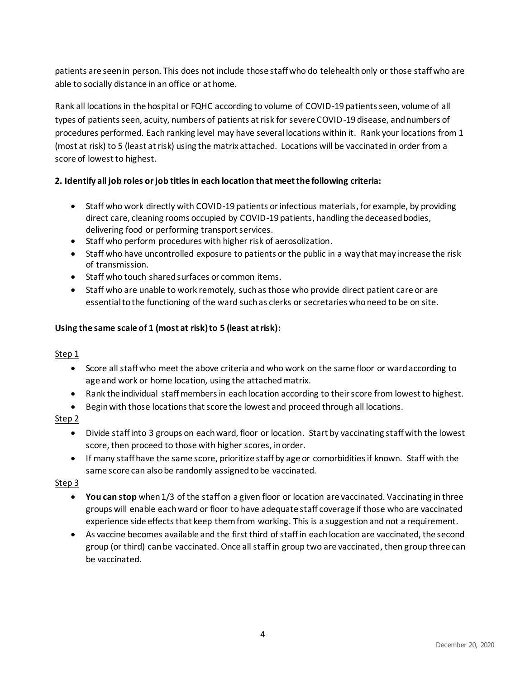patients are seen in person. This does not include those staff who do telehealth only or those staff who are able to socially distance in an office or at home.

Rank all locations in the hospital or FQHC according to volume of COVID-19 patients seen, volume of all types of patients seen, acuity, numbers of patients at risk for severe COVID-19 disease, and numbers of procedures performed. Each ranking level may have several locations within it. Rank your locations from 1 (most at risk) to 5 (least at risk) using the matrix attached. Locations will be vaccinated in order from a score of lowest to highest.

# **1. 2. Identify all job roles or job titlesin each location that meet the following criteria:**

- Staff who work directly with COVID-19 patients or infectious materials, for example, by providing direct care, cleaning rooms occupied by COVID-19 patients, handling the deceased bodies, delivering food or performing transport services.
- Staff who perform procedures with higher risk of aerosolization.
- Staff who have uncontrolled exposure to patients or the public in a way that may increase the risk of transmission.
- Staff who touch shared surfaces or common items.
- Staff who are unable to work remotely, such as those who provide direct patient care or are essential to the functioning of the ward such as clerks or secretaries who need to be on site.

# **Using the same scale of 1 (most at risk) to 5 (least at risk):**

## Step 1

- Score all staff who meet the above criteria and who work on the same floor or ward according to age and work or home location, using the attached matrix.
- Rank the individual staff members in each location according to their score from lowest to highest.
- Begin with those locations that score the lowest and proceed through all locations.

## Step 2

- Divide staff into 3 groups on each ward, floor or location. Start by vaccinating staff with the lowest score, then proceed to those with higher scores, in order.
- If many staff have the same score, prioritize staff by age or comorbidities if known. Staff with the same score can also be randomly assigned to be vaccinated.

## Step 3

- **You can stop** when 1/3 of the staff on a given floor or location are vaccinated. Vaccinating in three groups will enable each ward or floor to have adequate staff coverage if those who are vaccinated experience side effects that keep them from working. This is a suggestion and not a requirement.
- As vaccine becomes available and the first third of staff in each location are vaccinated, the second group (or third) can be vaccinated. Once all staff in group two are vaccinated, then group three can be vaccinated.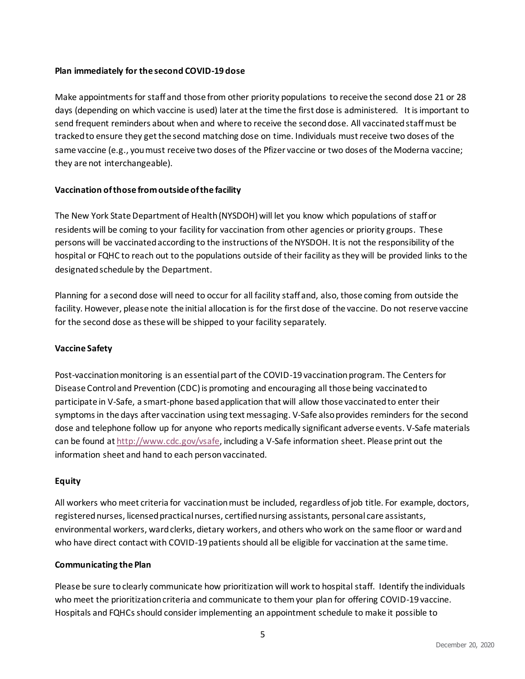#### **2. Plan immediately for the second COVID-19 dose**

Make appointments for staff and those from other priority populations to receive the second dose 21 or 28 days (depending on which vaccine is used) later at the time the first dose is administered. It is important to send frequent reminders about when and where to receive the second dose. All vaccinated staff must be tracked to ensure they get the second matching dose on time. Individuals must receive two doses of the same vaccine (e.g., you must receive two doses of the Pfizer vaccine or two doses of the Moderna vaccine; they are not interchangeable).

#### **Vaccination of those from outside of the facility**

The New York State Department of Health (NYSDOH) will let you know which populations of staff or residents will be coming to your facility for vaccination from other agencies or priority groups. These persons will be vaccinated according to the instructions of the NYSDOH. It is not the responsibility of the hospital or FQHC to reach out to the populations outside of their facility as they will be provided links to the designated schedule by the Department.

Planning for a second dose will need to occur for all facility staff and, also, those coming from outside the facility. However, please note the initial allocation is for the first dose of the vaccine. Do not reserve vaccine for the second dose as these will be shipped to your facility separately.

#### **Vaccine Safety**

Post-vaccination monitoring is an essential part of the COVID-19 vaccination program. The Centers for Disease Control and Prevention (CDC) is promoting and encouraging all those being vaccinated to participate in V-Safe, a smart-phone based application that will allow those vaccinated to enter their symptoms in the days after vaccination using text messaging. V-Safe also provides reminders for the second dose and telephone follow up for anyone who reports medically significant adverse events. V-Safe materials can be found a[t http://www.cdc.gov/vsafe,](http://www.cdc.gov/vsafe) including a V-Safe information sheet. Please print out the information sheet and hand to each person vaccinated.

#### **Equity**

All workers who meet criteria for vaccination must be included, regardless of job title. For example, doctors, registered nurses, licensed practical nurses, certified nursing assistants, personal care assistants, environmental workers, ward clerks, dietary workers, and others who work on the same floor or ward and who have direct contact with COVID-19 patients should all be eligible for vaccination at the same time.

#### **Communicating the Plan**

Please be sure to clearly communicate how prioritization will work to hospital staff. Identify the individuals who meet the prioritization criteria and communicate to them your plan for offering COVID-19 vaccine. Hospitals and FQHCs should consider implementing an appointment schedule to make it possible to